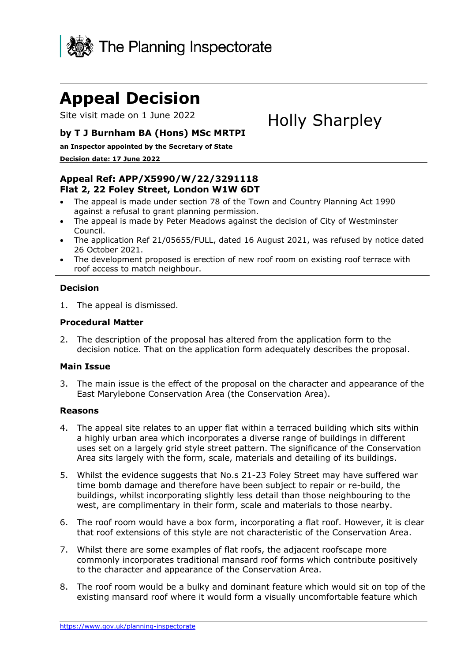

# **Appeal Decision**

Site visit made on 1 June 2022

# Holly Sharpley

## **by T J Burnham BA (Hons) MSc MRTPI**

**an Inspector appointed by the Secretary of State** 

#### **Decision date: 17 June 2022**

## **Appeal Ref: APP/X5990/W/22/3291118 Flat 2, 22 Foley Street, London W1W 6DT**

- The appeal is made under section 78 of the Town and Country Planning Act 1990 against a refusal to grant planning permission.
- The appeal is made by Peter Meadows against the decision of City of Westminster Council.
- The application Ref 21/05655/FULL, dated 16 August 2021, was refused by notice dated 26 October 2021.
- The development proposed is erection of new roof room on existing roof terrace with roof access to match neighbour.

#### **Decision**

1. The appeal is dismissed.

#### **Procedural Matter**

2. The description of the proposal has altered from the application form to the decision notice. That on the application form adequately describes the proposal.

#### **Main Issue**

3. The main issue is the effect of the proposal on the character and appearance of the East Marylebone Conservation Area (the Conservation Area).

#### **Reasons**

- 4. The appeal site relates to an upper flat within a terraced building which sits within a highly urban area which incorporates a diverse range of buildings in different uses set on a largely grid style street pattern. The significance of the Conservation Area sits largely with the form, scale, materials and detailing of its buildings.
- 5. Whilst the evidence suggests that No.s 21-23 Foley Street may have suffered war time bomb damage and therefore have been subject to repair or re-build, the buildings, whilst incorporating slightly less detail than those neighbouring to the west, are complimentary in their form, scale and materials to those nearby.
- 6. The roof room would have a box form, incorporating a flat roof. However, it is clear that roof extensions of this style are not characteristic of the Conservation Area.
- 7. Whilst there are some examples of flat roofs, the adjacent roofscape more commonly incorporates traditional mansard roof forms which contribute positively to the character and appearance of the Conservation Area.
- 8. The roof room would be a bulky and dominant feature which would sit on top of the existing mansard roof where it would form a visually uncomfortable feature which